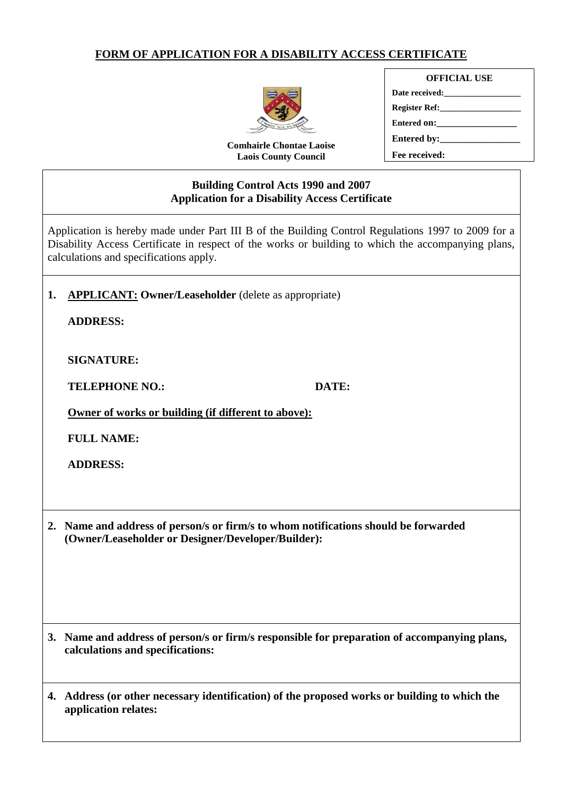#### **FORM OF APPLICATION FOR A DISABILITY ACCESS CERTIFICATE**



**Comhairle Chontae Laoise Laois County Council**

# **OFFICIAL USE**

| Register Ref: |  |
|---------------|--|
| Entered on:   |  |
|               |  |
| Fee received: |  |

**\_\_\_\_\_\_\_\_\_\_\_\_\_\_\_\_\_\_\_\_\_\_\_\_\_\_\_\_**

#### **Building Control Acts 1990 and 2007 Application for a Disability Access Certificate \_\_\_\_\_\_\_\_\_\_\_\_\_\_\_\_\_\_\_\_\_\_\_\_\_\_\_\_**

Application is hereby made under Part III B of the Building Control Regulations 1997 to 2009 for a Disability Access Certificate in respect of the works or building to which the accompanying plans, calculations and specifications apply.

#### **1. APPLICANT: Owner/Leaseholder** (delete as appropriate)

**ADDRESS:**

**SIGNATURE:** 

**TELEPHONE NO.: DATE:**

**Owner of works or building (if different to above):**

**FULL NAME:**

**ADDRESS:** 

**2. Name and address of person/s or firm/s to whom notifications should be forwarded (Owner/Leaseholder or Designer/Developer/Builder):**

- **3. Name and address of person/s or firm/s responsible for preparation of accompanying plans, calculations and specifications:**
- **4. Address (or other necessary identification) of the proposed works or building to which the application relates:**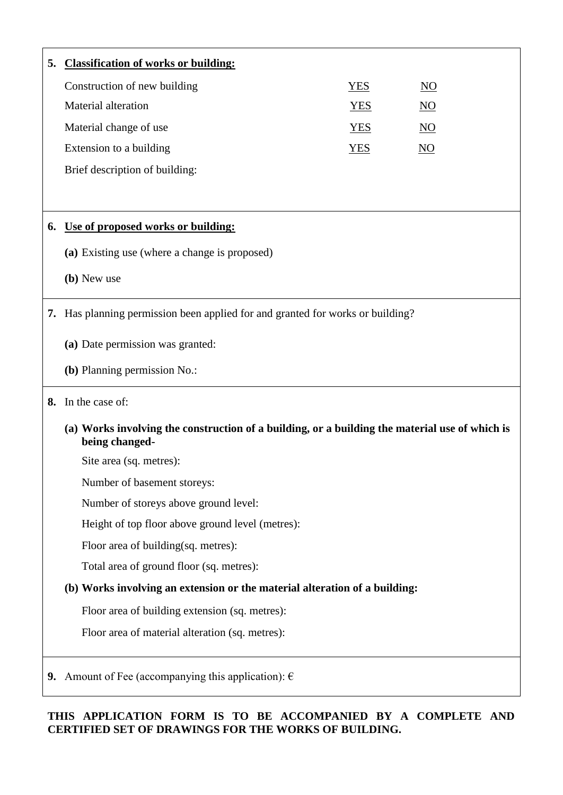| 5. | <b>Classification of works or building:</b>                                                                      |            |                  |  |
|----|------------------------------------------------------------------------------------------------------------------|------------|------------------|--|
|    | Construction of new building                                                                                     | <b>YES</b> | $\overline{NO}$  |  |
|    | Material alteration                                                                                              | <b>YES</b> | $\overline{NO}$  |  |
|    | Material change of use                                                                                           | <b>YES</b> | $\underline{NO}$ |  |
|    | Extension to a building                                                                                          | <b>YES</b> | N <sub>O</sub>   |  |
|    | Brief description of building:                                                                                   |            |                  |  |
|    |                                                                                                                  |            |                  |  |
| 6. | Use of proposed works or building:                                                                               |            |                  |  |
|    | (a) Existing use (where a change is proposed)                                                                    |            |                  |  |
|    | (b) New use                                                                                                      |            |                  |  |
|    |                                                                                                                  |            |                  |  |
|    | <b>7.</b> Has planning permission been applied for and granted for works or building?                            |            |                  |  |
|    | (a) Date permission was granted:                                                                                 |            |                  |  |
|    | (b) Planning permission No.:                                                                                     |            |                  |  |
|    | 8. In the case of:                                                                                               |            |                  |  |
|    | (a) Works involving the construction of a building, or a building the material use of which is<br>being changed- |            |                  |  |
|    | Site area (sq. metres):                                                                                          |            |                  |  |
|    | Number of basement storeys:                                                                                      |            |                  |  |
|    | Number of storeys above ground level:                                                                            |            |                  |  |
|    | Height of top floor above ground level (metres):                                                                 |            |                  |  |
|    | Floor area of building(sq. metres):                                                                              |            |                  |  |
|    | Total area of ground floor (sq. metres):                                                                         |            |                  |  |
|    | (b) Works involving an extension or the material alteration of a building:                                       |            |                  |  |
|    | Floor area of building extension (sq. metres):                                                                   |            |                  |  |
|    | Floor area of material alteration (sq. metres):                                                                  |            |                  |  |
|    |                                                                                                                  |            |                  |  |
|    | 9. Amount of Fee (accompanying this application): $\epsilon$                                                     |            |                  |  |

#### **THIS APPLICATION FORM IS TO BE ACCOMPANIED BY A COMPLETE AND CERTIFIED SET OF DRAWINGS FOR THE WORKS OF BUILDING.**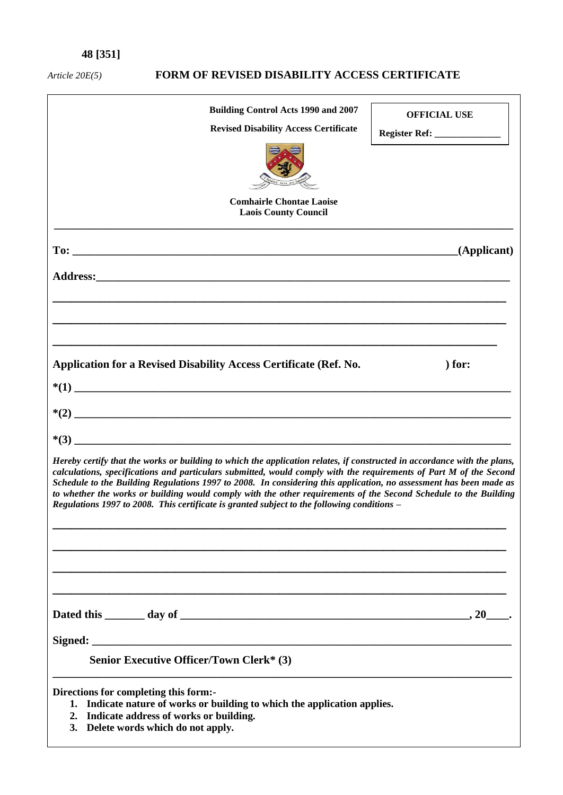# **48 [351]**

# *Article 20E(5)* **FORM OF REVISED DISABILITY ACCESS CERTIFICATE**

| <b>Building Control Acts 1990 and 2007</b><br><b>Revised Disability Access Certificate</b><br><b>Comhairle Chontae Laoise</b><br><b>Laois County Council</b>                                                                                                                                                                                                                                                                                                                                                                                                                            | <b>OFFICIAL USE</b><br>Register Ref: _______________ |  |  |  |
|-----------------------------------------------------------------------------------------------------------------------------------------------------------------------------------------------------------------------------------------------------------------------------------------------------------------------------------------------------------------------------------------------------------------------------------------------------------------------------------------------------------------------------------------------------------------------------------------|------------------------------------------------------|--|--|--|
|                                                                                                                                                                                                                                                                                                                                                                                                                                                                                                                                                                                         | (Applicant)                                          |  |  |  |
|                                                                                                                                                                                                                                                                                                                                                                                                                                                                                                                                                                                         |                                                      |  |  |  |
| Application for a Revised Disability Access Certificate (Ref. No.                                                                                                                                                                                                                                                                                                                                                                                                                                                                                                                       | $)$ for:                                             |  |  |  |
|                                                                                                                                                                                                                                                                                                                                                                                                                                                                                                                                                                                         |                                                      |  |  |  |
|                                                                                                                                                                                                                                                                                                                                                                                                                                                                                                                                                                                         |                                                      |  |  |  |
| Hereby certify that the works or building to which the application relates, if constructed in accordance with the plans,<br>calculations, specifications and particulars submitted, would comply with the requirements of Part M of the Second<br>Schedule to the Building Regulations 1997 to 2008. In considering this application, no assessment has been made as<br>to whether the works or building would comply with the other requirements of the Second Schedule to the Building<br>Regulations 1997 to 2008. This certificate is granted subject to the following conditions - |                                                      |  |  |  |
|                                                                                                                                                                                                                                                                                                                                                                                                                                                                                                                                                                                         |                                                      |  |  |  |
|                                                                                                                                                                                                                                                                                                                                                                                                                                                                                                                                                                                         |                                                      |  |  |  |
| <b>Senior Executive Officer/Town Clerk* (3)</b>                                                                                                                                                                                                                                                                                                                                                                                                                                                                                                                                         |                                                      |  |  |  |
| Directions for completing this form:-<br>1. Indicate nature of works or building to which the application applies.<br>Indicate address of works or building.<br>2.<br>Delete words which do not apply.<br><b>3.</b>                                                                                                                                                                                                                                                                                                                                                                     |                                                      |  |  |  |